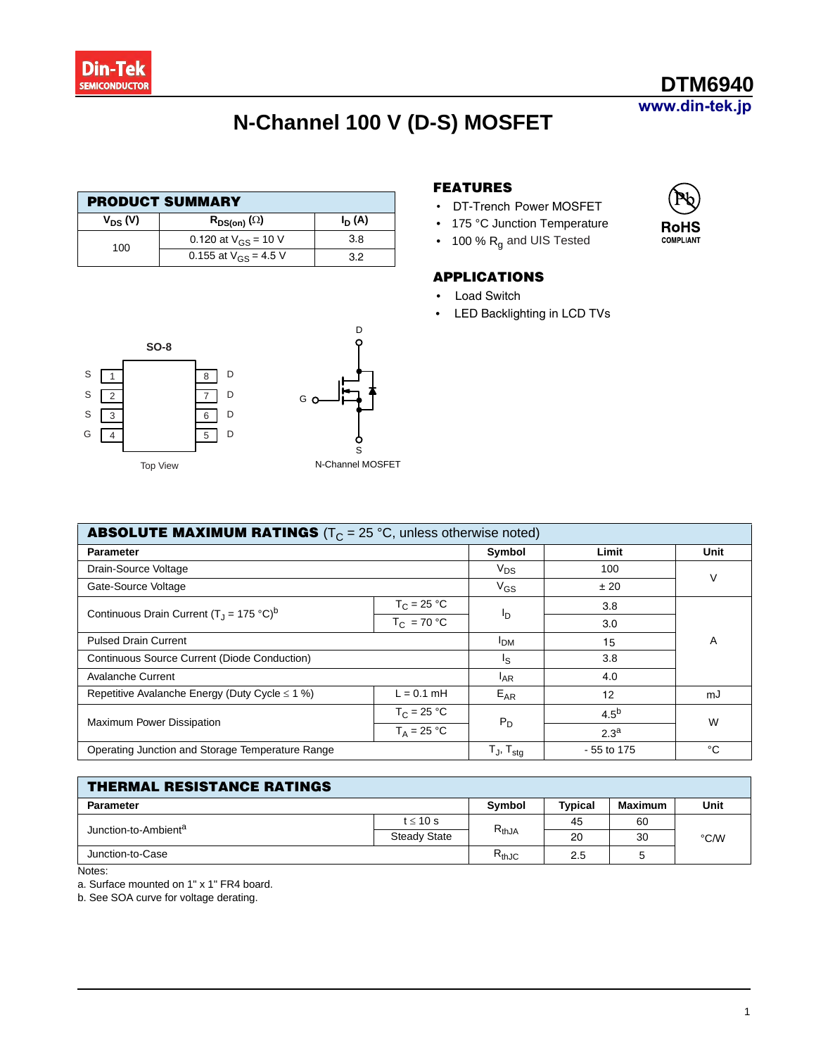

# **N-Channel 100 V (D-S) MOSFET**

| <b>PRODUCT SUMMARY</b> |                           |          |  |  |
|------------------------|---------------------------|----------|--|--|
| $V_{DS} (V)$           | $R_{DS(on)}(\Omega)$      | $I_D(A)$ |  |  |
| 100                    | 0.120 at $V_{GS}$ = 10 V  | 3.8      |  |  |
|                        | 0.155 at $V_{GS}$ = 4.5 V | 3.2      |  |  |



#### **FEATURES**

- DT-Trench Power MOSFET
- 175 °C Junction Temperature
- 100 % R<sub>g</sub> and UIS Tested

#### **APPLICATIONS**

- **Load Switch**
- LED Backlighting in LCD TVs



| <b>ABSOLUTE MAXIMUM RATINGS</b> ( $T_C = 25$ °C, unless otherwise noted) |                 |                            |                  |    |  |  |
|--------------------------------------------------------------------------|-----------------|----------------------------|------------------|----|--|--|
| <b>Parameter</b>                                                         | Symbol          | Limit                      | Unit             |    |  |  |
| Drain-Source Voltage                                                     | $V_{DS}$        | 100                        | ٧                |    |  |  |
| Gate-Source Voltage                                                      | $V_{GS}$        | ± 20                       |                  |    |  |  |
| Continuous Drain Current $(T_1 = 175 \degree C)^b$                       | $T_C = 25 °C$   |                            | 3.8              |    |  |  |
|                                                                          | $T_C = 70 °C$   | <u>In</u>                  | 3.0              |    |  |  |
| <b>Pulsed Drain Current</b>                                              | <b>IDM</b>      | 15                         | A                |    |  |  |
| Continuous Source Current (Diode Conduction)                             | I <sub>S</sub>  | 3.8                        |                  |    |  |  |
| <b>Avalanche Current</b>                                                 | <sup>I</sup> AR | 4.0                        |                  |    |  |  |
| Repetitive Avalanche Energy (Duty Cycle $\leq 1$ %)                      | $L = 0.1$ mH    | $E_{AR}$                   | 12               | mJ |  |  |
|                                                                          | $T_C = 25 °C$   | $P_D$                      | 4.5 <sup>b</sup> | W  |  |  |
| Maximum Power Dissipation                                                | $T_A = 25 °C$   |                            | 2.3 <sup>a</sup> |    |  |  |
| Operating Junction and Storage Temperature Range                         |                 | $T_{J}$ , $T_{\text{stq}}$ | - 55 to 175      | °C |  |  |

| <b>THERMAL RESISTANCE RATINGS</b> |                     |               |                |         |      |  |  |
|-----------------------------------|---------------------|---------------|----------------|---------|------|--|--|
| <b>Parameter</b>                  |                     | <b>Symbol</b> | <b>Typical</b> | Maximum | Unit |  |  |
| Junction-to-Ambient <sup>a</sup>  | $t \leq 10$ s       | $R_{thJA}$    | 45             | 60      | °C/W |  |  |
|                                   | <b>Steady State</b> |               | 20             | 30      |      |  |  |
| Junction-to-Case                  |                     | $R_{thJC}$    | 2.5            |         |      |  |  |

Notes:

a. Surface mounted on 1" x 1" FR4 board.

b. See SOA curve for voltage derating.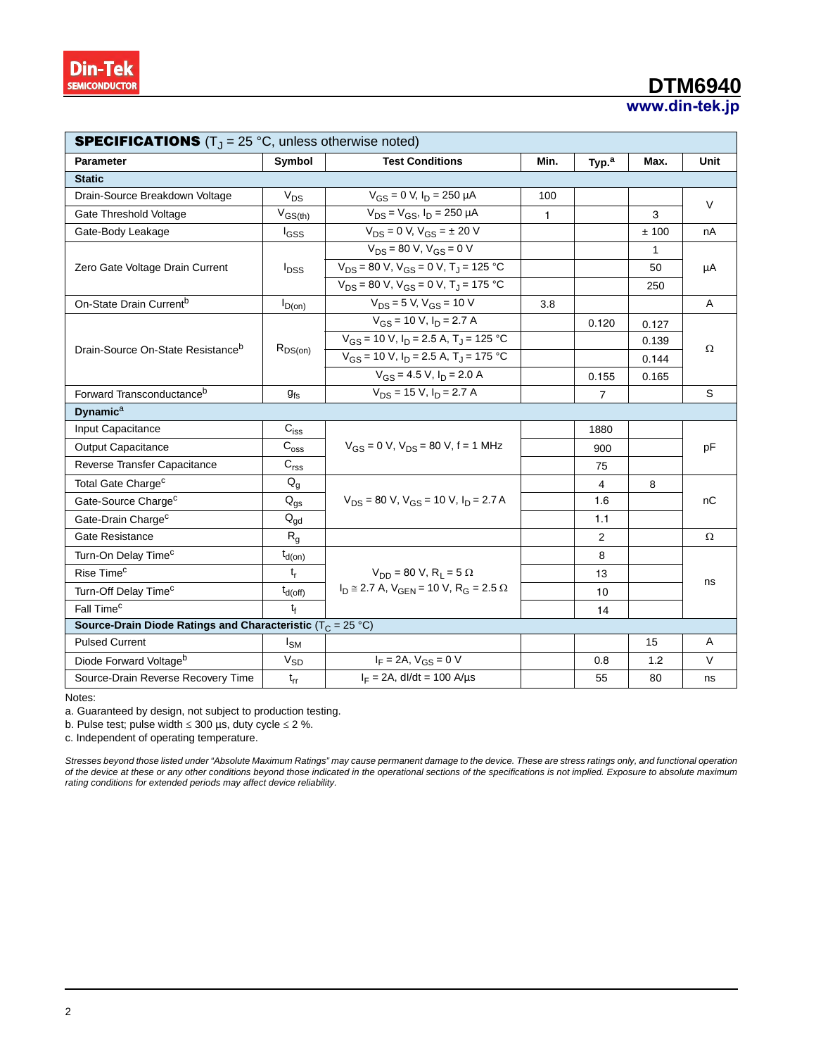### **www.din-tek.jp DTM6940**

| <b>SPECIFICATIONS</b> $(TJ = 25 °C$ , unless otherwise noted)   |                           |                                                                      |              |                   |       |        |  |
|-----------------------------------------------------------------|---------------------------|----------------------------------------------------------------------|--------------|-------------------|-------|--------|--|
| <b>Parameter</b>                                                | Symbol                    | <b>Test Conditions</b>                                               | Min.         | Typ. <sup>a</sup> | Max.  | Unit   |  |
| <b>Static</b>                                                   |                           |                                                                      |              |                   |       |        |  |
| Drain-Source Breakdown Voltage                                  | $V_{DS}$                  | $V_{GS} = 0$ V, $I_D = 250$ µA                                       | 100          |                   |       | $\vee$ |  |
| Gate Threshold Voltage                                          | $V_{GS(th)}$              | $V_{DS} = V_{GS}$ , $I_D = 250 \mu A$                                | $\mathbf{1}$ |                   | 3     |        |  |
| Gate-Body Leakage                                               | <sup>I</sup> GSS          | $V_{DS} = 0 V, V_{GS} = \pm 20 V$                                    |              |                   | ±100  | nA     |  |
|                                                                 |                           | $V_{DS} = 80 V$ , $V_{GS} = 0 V$                                     |              |                   | 1     |        |  |
| Zero Gate Voltage Drain Current                                 | $I_{DSS}$                 | $V_{DS}$ = 80 V, V <sub>GS</sub> = 0 V, T <sub>J</sub> = 125 °C      |              |                   | 50    | μA     |  |
|                                                                 |                           | $V_{DS}$ = 80 V, V <sub>GS</sub> = 0 V, T <sub>J</sub> = 175 °C      |              |                   | 250   |        |  |
| On-State Drain Current <sup>b</sup>                             | $I_{D(0n)}$               | $V_{DS} = 5 V$ , $V_{GS} = 10 V$                                     | 3.8          |                   |       | A      |  |
|                                                                 |                           | $V_{GS}$ = 10 V, $I_D$ = 2.7 A                                       | 0.120        |                   | 0.127 |        |  |
|                                                                 |                           | $V_{GS}$ = 10 V, $I_D$ = 2.5 A, T <sub>J</sub> = 125 °C              | 0.139        |                   |       |        |  |
| Drain-Source On-State Resistance <sup>b</sup>                   | $R_{DS(on)}$              | $V_{GS}$ = 10 V, $I_D$ = 2.5 A, T <sub>J</sub> = 175 °C              |              |                   | 0.144 | Ω      |  |
|                                                                 |                           | $V_{GS}$ = 4.5 V, $I_D$ = 2.0 A                                      |              | 0.155             | 0.165 |        |  |
| Forward Transconductance <sup>b</sup>                           | $g_{fs}$                  | $V_{DS}$ = 15 V, $I_D$ = 2.7 A                                       |              | $\overline{7}$    |       | S      |  |
| <b>Dynamica</b>                                                 |                           |                                                                      |              |                   |       |        |  |
| Input Capacitance                                               | $C_{iss}$                 |                                                                      |              | 1880              |       |        |  |
| Output Capacitance                                              | $C_{\rm{oss}}$            | $V_{GS}$ = 0 V, $V_{DS}$ = 80 V, f = 1 MHz                           |              | 900               |       | pF     |  |
| Reverse Transfer Capacitance                                    | $\mathbf{C}_{\text{rss}}$ |                                                                      |              | 75                |       |        |  |
| Total Gate Charge <sup>c</sup>                                  | $Q_g$                     |                                                                      |              | 4                 | 8     |        |  |
| Gate-Source Charge <sup>c</sup>                                 | $Q_{\text{gs}}$           | $V_{DS}$ = 80 V, $V_{GS}$ = 10 V, $I_D$ = 2.7 A                      |              | 1.6               |       | nC     |  |
| Gate-Drain Charge <sup>c</sup>                                  | $Q_{gd}$                  |                                                                      |              | 1.1               |       |        |  |
| Gate Resistance                                                 | $R_{q}$                   |                                                                      |              | 2                 |       | Ω      |  |
| Turn-On Delay Time <sup>c</sup>                                 | $t_{d(on)}$               |                                                                      |              | 8                 |       |        |  |
| Rise Time <sup>c</sup>                                          | $t_{r}$                   | $V_{DD} = 80 V$ , R <sub>1</sub> = 5 $\Omega$                        |              | 13                |       | ns     |  |
| Turn-Off Delay Time <sup>c</sup>                                | $t_{d(off)}$              | $I_D \approx 2.7$ A, $V_{GEN} = 10$ V, R <sub>G</sub> = 2.5 $\Omega$ |              | 10                |       |        |  |
| Fall Time <sup>c</sup>                                          | t <sub>f</sub>            |                                                                      |              | 14                |       |        |  |
| Source-Drain Diode Ratings and Characteristic ( $T_C = 25 °C$ ) |                           |                                                                      |              |                   |       |        |  |
| <b>Pulsed Current</b>                                           | I <sub>SM</sub>           |                                                                      |              |                   | 15    | A      |  |
| Diode Forward Voltage <sup>b</sup>                              | $\rm V_{SD}$              | $I_F = 2A$ , $V_{GS} = 0$ V                                          |              | 0.8               | 1.2   | $\vee$ |  |
| Source-Drain Reverse Recovery Time                              | $t_{rr}$                  | $I_F = 2A$ , dl/dt = 100 A/µs                                        |              | 55                | 80    | ns     |  |

Notes:

a. Guaranteed by design, not subject to production testing.

b. Pulse test; pulse width  $\leq 300$  µs, duty cycle  $\leq 2$  %.

c. Independent of operating temperature.

*Stresses beyond those listed under "Absolute Maximum Ratings" may cause permanent damage to the device. These are stress ratings only, and functional operation of the device at these or any other conditions beyond those indicated in the operational sections of the specifications is not implied. Exposure to absolute maximum rating conditions for extended periods may affect device reliability.*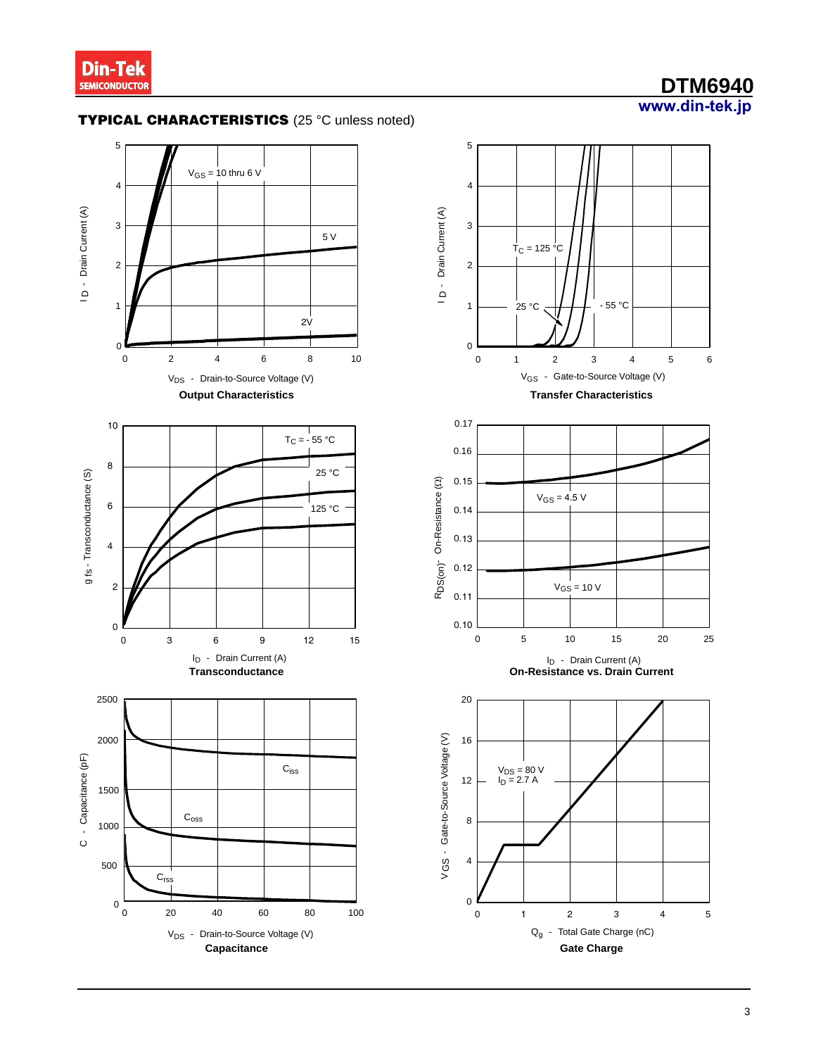

## **www.din-tek.jp DTM6940**

### **TYPICAL CHARACTERISTICS** (25 °C unless noted)



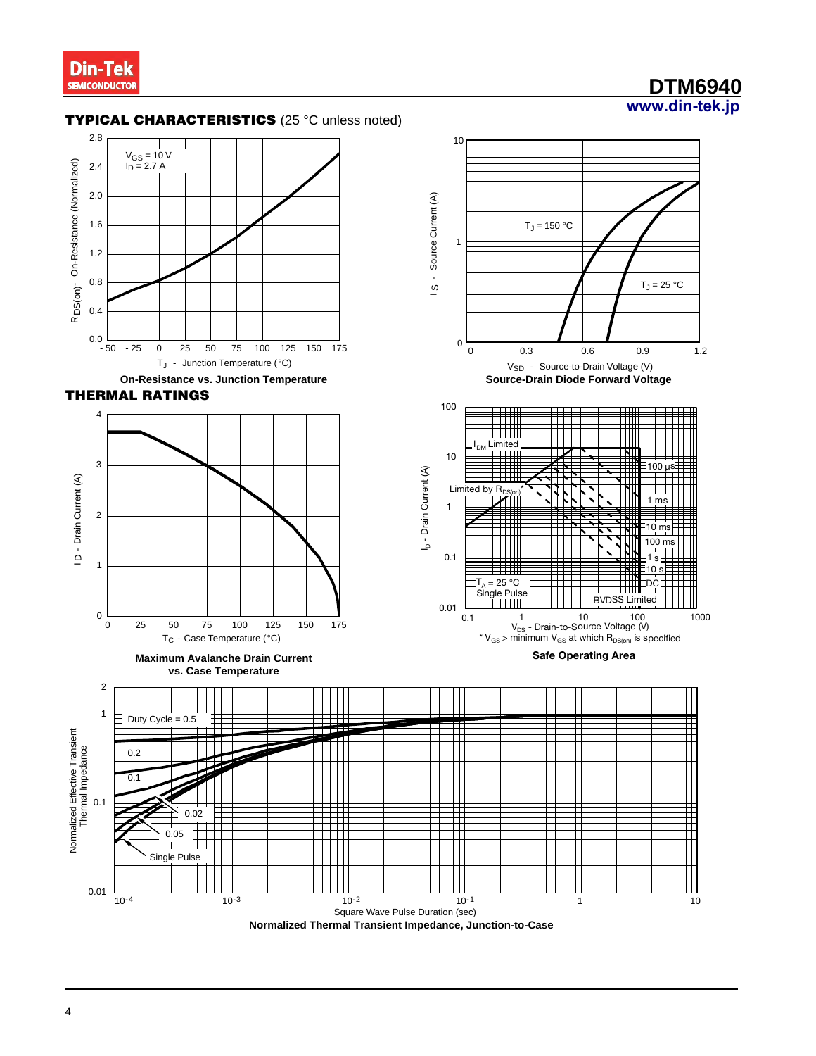### **www.din-tek.jp DTM6940**

#### **TYPICAL CHARACTERISTICS** (25 °C unless noted)



**THERMAL RATINGS** 



**Maximum Avalanche Drain Current vs. Case Temperature**



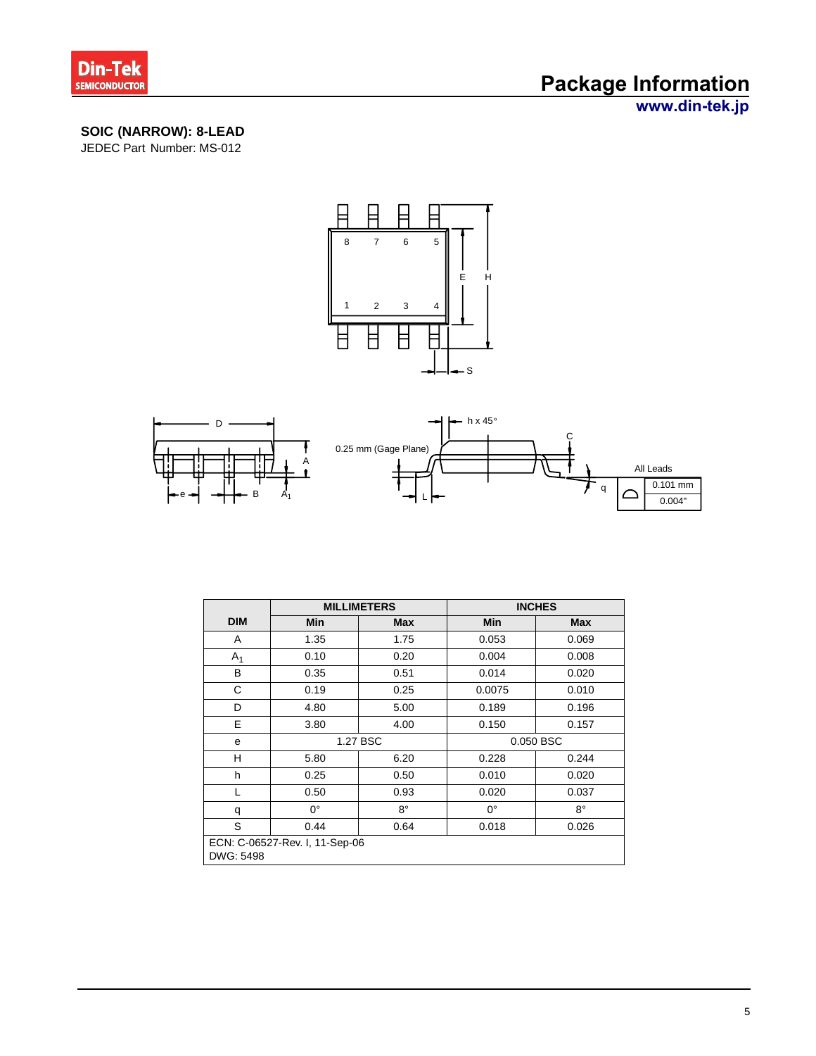

## **Package Information**

**www.din-tek.jp**

### **SOIC (NARROW): 8-LEAD**

JEDEC Part Number: MS-012





|                                             |             | <b>MILLIMETERS</b> |             | <b>INCHES</b> |  |  |
|---------------------------------------------|-------------|--------------------|-------------|---------------|--|--|
| <b>DIM</b>                                  | <b>Min</b>  | <b>Max</b>         | Min         | <b>Max</b>    |  |  |
| A                                           | 1.35        | 1.75               | 0.053       | 0.069         |  |  |
| A <sub>1</sub>                              | 0.10        | 0.20               | 0.004       | 0.008         |  |  |
| В                                           | 0.35        | 0.51               | 0.014       | 0.020         |  |  |
| С                                           | 0.19        | 0.25               | 0.0075      | 0.010         |  |  |
| D                                           | 4.80        | 5.00               | 0.189       | 0.196         |  |  |
| E                                           | 3.80        | 4.00               | 0.150       | 0.157         |  |  |
| e                                           | 1.27 BSC    |                    | 0.050 BSC   |               |  |  |
| H                                           | 5.80        | 6.20               | 0.228       | 0.244         |  |  |
| h                                           | 0.25        | 0.50               | 0.010       | 0.020         |  |  |
|                                             | 0.50        | 0.93               | 0.020       | 0.037         |  |  |
| q                                           | $0^{\circ}$ | 8°                 | $0^{\circ}$ | $8^{\circ}$   |  |  |
| S                                           | 0.44        | 0.64               | 0.018       | 0.026         |  |  |
| ECN: C-06527-Rev. I, 11-Sep-06<br>DWG: 5498 |             |                    |             |               |  |  |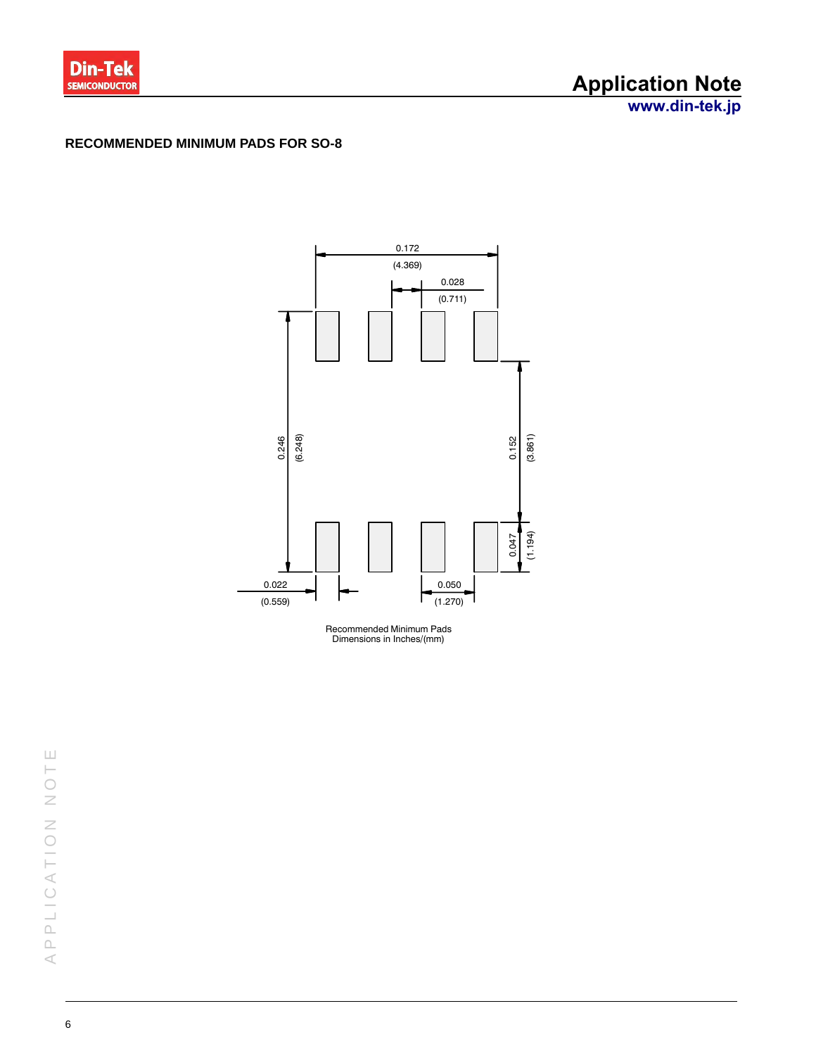

## **Application Note**

**www.din-tek.jp**

#### **RECOMMENDED MINIMUM PADS FOR SO-8**



Recommended Minimum Pads Dimensions in Inches/(mm)

APPLICATION NOTE PPLICATION NOT  $\,<$ 

 $\sqcup$